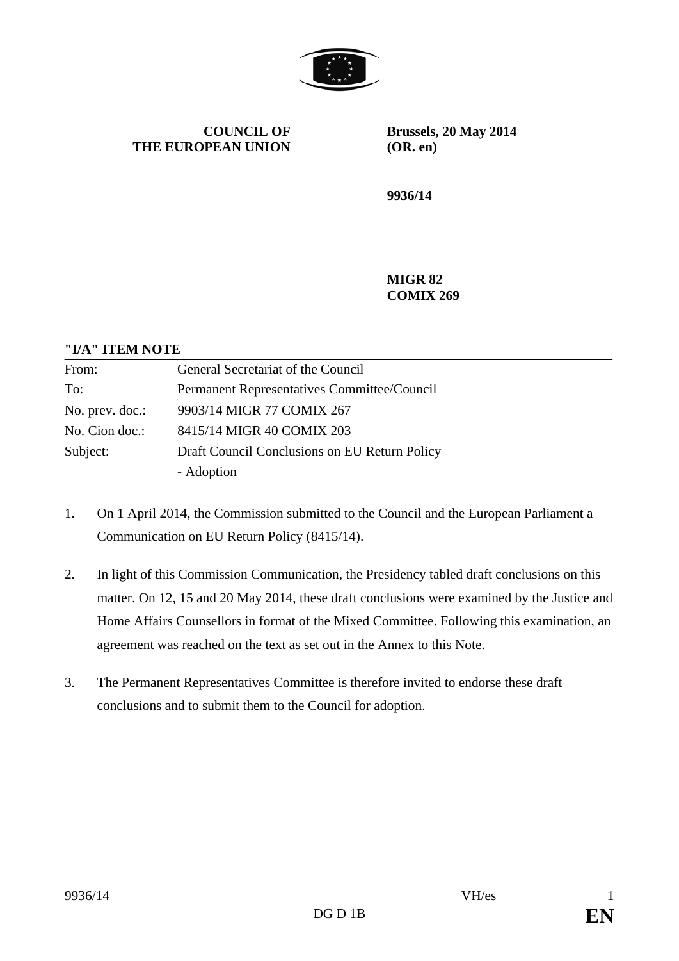

**COUNCIL OF THE EUROPEAN UNION** **Brussels, 20 May 2014 (OR. en)** 

**9936/14** 

**MIGR 82 COMIX 269** 

## **"I/A" ITEM NOTE**

| From:           | General Secretariat of the Council            |
|-----------------|-----------------------------------------------|
| To:             | Permanent Representatives Committee/Council   |
| No. prev. doc.: | 9903/14 MIGR 77 COMIX 267                     |
| No. Cion doc.:  | 8415/14 MIGR 40 COMIX 203                     |
| Subject:        | Draft Council Conclusions on EU Return Policy |
|                 | - Adoption                                    |

- 1. On 1 April 2014, the Commission submitted to the Council and the European Parliament a Communication on EU Return Policy (8415/14).
- 2. In light of this Commission Communication, the Presidency tabled draft conclusions on this matter. On 12, 15 and 20 May 2014, these draft conclusions were examined by the Justice and Home Affairs Counsellors in format of the Mixed Committee. Following this examination, an agreement was reached on the text as set out in the Annex to this Note.
- 3. The Permanent Representatives Committee is therefore invited to endorse these draft conclusions and to submit them to the Council for adoption.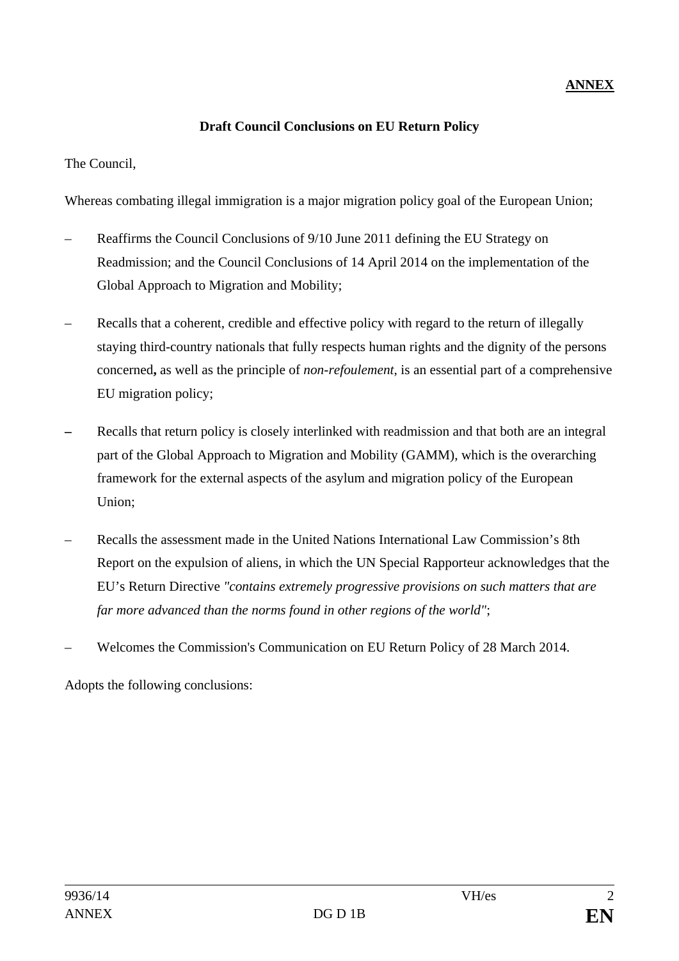## **ANNEX**

## **Draft Council Conclusions on EU Return Policy**

## The Council,

Whereas combating illegal immigration is a major migration policy goal of the European Union;

- Reaffirms the Council Conclusions of 9/10 June 2011 defining the EU Strategy on Readmission; and the Council Conclusions of 14 April 2014 on the implementation of the Global Approach to Migration and Mobility;
- Recalls that a coherent, credible and effective policy with regard to the return of illegally staying third-country nationals that fully respects human rights and the dignity of the persons concerned**,** as well as the principle of *non-refoulement*, is an essential part of a comprehensive EU migration policy;
- Recalls that return policy is closely interlinked with readmission and that both are an integral part of the Global Approach to Migration and Mobility (GAMM), which is the overarching framework for the external aspects of the asylum and migration policy of the European Union;
- Recalls the assessment made in the United Nations International Law Commission's 8th Report on the expulsion of aliens, in which the UN Special Rapporteur acknowledges that the EU's Return Directive *"contains extremely progressive provisions on such matters that are far more advanced than the norms found in other regions of the world"*;
- Welcomes the Commission's Communication on EU Return Policy of 28 March 2014.

Adopts the following conclusions: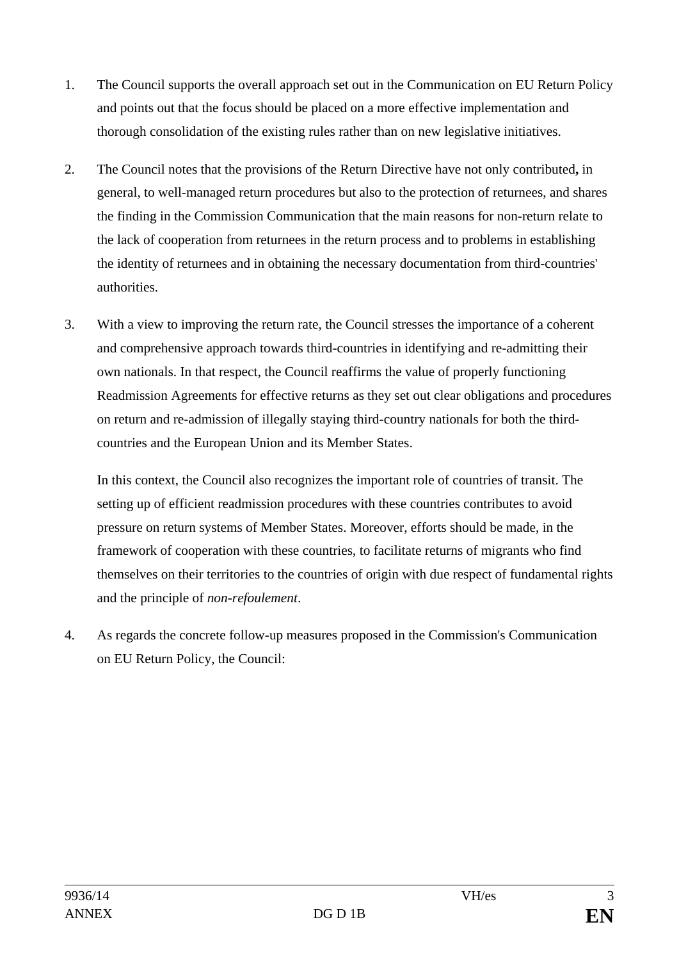- 1. The Council supports the overall approach set out in the Communication on EU Return Policy and points out that the focus should be placed on a more effective implementation and thorough consolidation of the existing rules rather than on new legislative initiatives.
- 2. The Council notes that the provisions of the Return Directive have not only contributed**,** in general, to well-managed return procedures but also to the protection of returnees, and shares the finding in the Commission Communication that the main reasons for non-return relate to the lack of cooperation from returnees in the return process and to problems in establishing the identity of returnees and in obtaining the necessary documentation from third-countries' authorities.
- 3. With a view to improving the return rate, the Council stresses the importance of a coherent and comprehensive approach towards third-countries in identifying and re-admitting their own nationals. In that respect, the Council reaffirms the value of properly functioning Readmission Agreements for effective returns as they set out clear obligations and procedures on return and re-admission of illegally staying third-country nationals for both the thirdcountries and the European Union and its Member States.

In this context, the Council also recognizes the important role of countries of transit. The setting up of efficient readmission procedures with these countries contributes to avoid pressure on return systems of Member States. Moreover, efforts should be made, in the framework of cooperation with these countries, to facilitate returns of migrants who find themselves on their territories to the countries of origin with due respect of fundamental rights and the principle of *non-refoulement*.

4. As regards the concrete follow-up measures proposed in the Commission's Communication on EU Return Policy, the Council: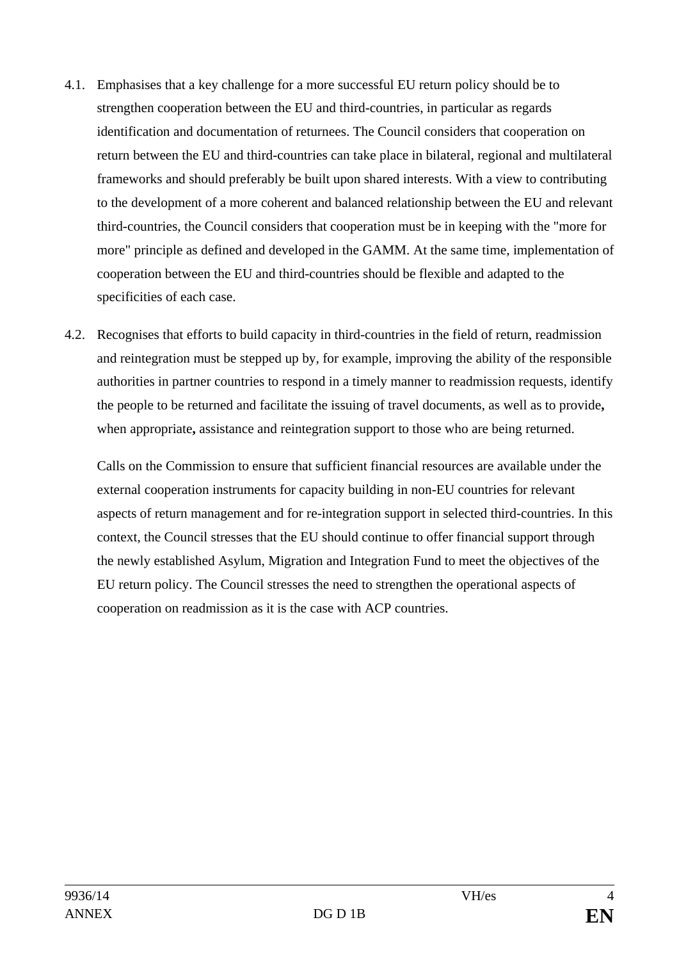- 4.1. Emphasises that a key challenge for a more successful EU return policy should be to strengthen cooperation between the EU and third-countries, in particular as regards identification and documentation of returnees. The Council considers that cooperation on return between the EU and third-countries can take place in bilateral, regional and multilateral frameworks and should preferably be built upon shared interests. With a view to contributing to the development of a more coherent and balanced relationship between the EU and relevant third-countries, the Council considers that cooperation must be in keeping with the "more for more" principle as defined and developed in the GAMM. At the same time, implementation of cooperation between the EU and third-countries should be flexible and adapted to the specificities of each case.
- 4.2. Recognises that efforts to build capacity in third-countries in the field of return, readmission and reintegration must be stepped up by, for example, improving the ability of the responsible authorities in partner countries to respond in a timely manner to readmission requests, identify the people to be returned and facilitate the issuing of travel documents, as well as to provide**,**  when appropriate**,** assistance and reintegration support to those who are being returned.

Calls on the Commission to ensure that sufficient financial resources are available under the external cooperation instruments for capacity building in non-EU countries for relevant aspects of return management and for re-integration support in selected third-countries. In this context, the Council stresses that the EU should continue to offer financial support through the newly established Asylum, Migration and Integration Fund to meet the objectives of the EU return policy. The Council stresses the need to strengthen the operational aspects of cooperation on readmission as it is the case with ACP countries.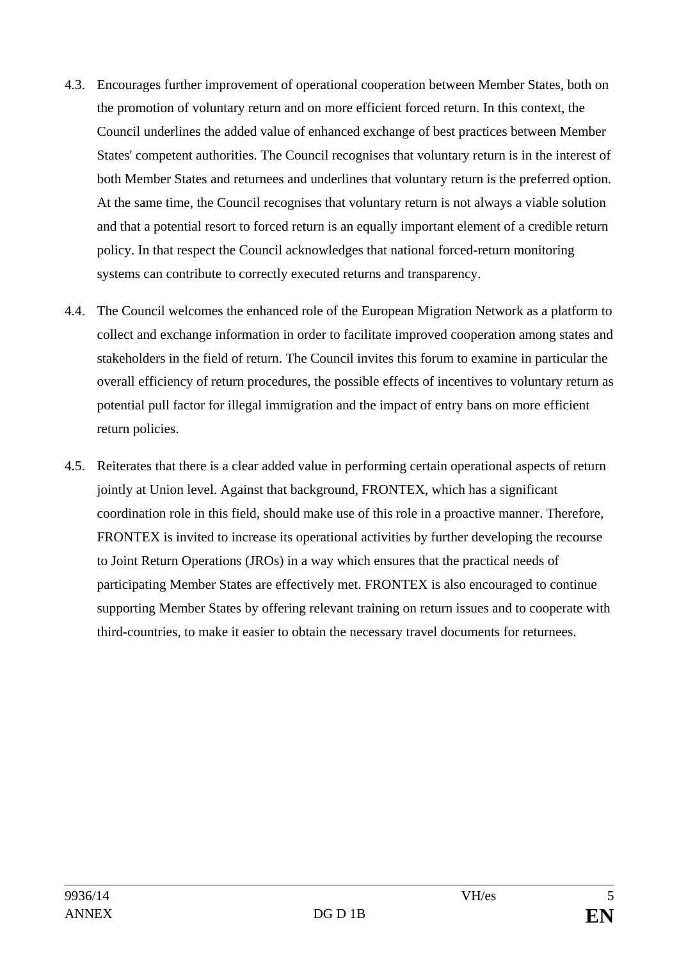- 4.3. Encourages further improvement of operational cooperation between Member States, both on the promotion of voluntary return and on more efficient forced return. In this context, the Council underlines the added value of enhanced exchange of best practices between Member States' competent authorities. The Council recognises that voluntary return is in the interest of both Member States and returnees and underlines that voluntary return is the preferred option. At the same time, the Council recognises that voluntary return is not always a viable solution and that a potential resort to forced return is an equally important element of a credible return policy. In that respect the Council acknowledges that national forced-return monitoring systems can contribute to correctly executed returns and transparency.
- 4.4. The Council welcomes the enhanced role of the European Migration Network as a platform to collect and exchange information in order to facilitate improved cooperation among states and stakeholders in the field of return. The Council invites this forum to examine in particular the overall efficiency of return procedures, the possible effects of incentives to voluntary return as potential pull factor for illegal immigration and the impact of entry bans on more efficient return policies.
- 4.5. Reiterates that there is a clear added value in performing certain operational aspects of return jointly at Union level. Against that background, FRONTEX, which has a significant coordination role in this field, should make use of this role in a proactive manner. Therefore, FRONTEX is invited to increase its operational activities by further developing the recourse to Joint Return Operations (JROs) in a way which ensures that the practical needs of participating Member States are effectively met. FRONTEX is also encouraged to continue supporting Member States by offering relevant training on return issues and to cooperate with third-countries, to make it easier to obtain the necessary travel documents for returnees.